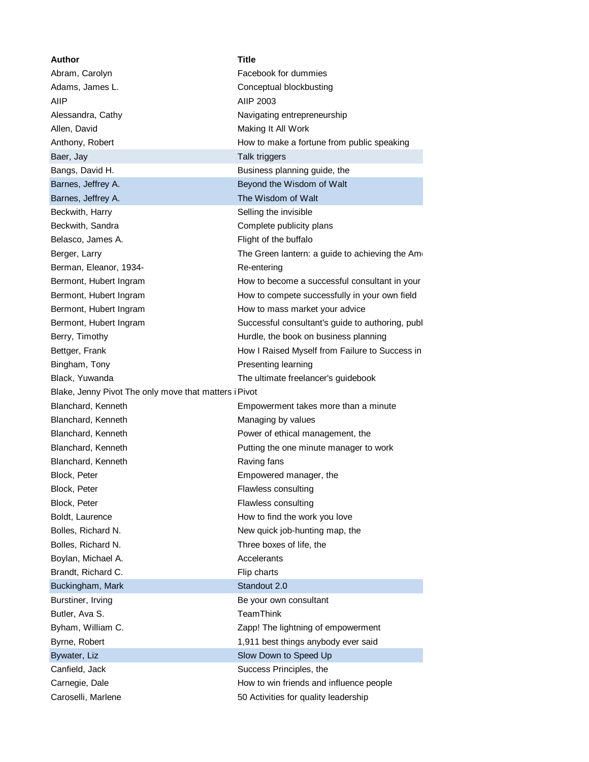| Author                                                | <b>Title</b>                                     |
|-------------------------------------------------------|--------------------------------------------------|
| Abram, Carolyn                                        | Facebook for dummies                             |
| Adams, James L.                                       | Conceptual blockbusting                          |
| AIIP                                                  | AIIP 2003                                        |
| Alessandra, Cathy                                     | Navigating entrepreneurship                      |
| Allen, David                                          | Making It All Work                               |
| Anthony, Robert                                       | How to make a fortune from public speaking       |
| Baer, Jay                                             | Talk triggers                                    |
| Bangs, David H.                                       | Business planning guide, the                     |
| Barnes, Jeffrey A.                                    | Beyond the Wisdom of Walt                        |
| Barnes, Jeffrey A.                                    | The Wisdom of Walt                               |
| Beckwith, Harry                                       | Selling the invisible                            |
| Beckwith, Sandra                                      | Complete publicity plans                         |
| Belasco, James A.                                     | Flight of the buffalo                            |
| Berger, Larry                                         | The Green lantern: a guide to achieving the Am   |
| Berman, Eleanor, 1934-                                | Re-entering                                      |
| Bermont, Hubert Ingram                                | How to become a successful consultant in your    |
| Bermont, Hubert Ingram                                | How to compete successfully in your own field    |
| Bermont, Hubert Ingram                                | How to mass market your advice                   |
| Bermont, Hubert Ingram                                | Successful consultant's guide to authoring, publ |
| Berry, Timothy                                        | Hurdle, the book on business planning            |
| Bettger, Frank                                        | How I Raised Myself from Failure to Success in   |
| Bingham, Tony                                         | Presenting learning                              |
| Black, Yuwanda                                        | The ultimate freelancer's guidebook              |
| Blake, Jenny Pivot The only move that matters i Pivot |                                                  |
| Blanchard, Kenneth                                    | Empowerment takes more than a minute             |
| Blanchard, Kenneth                                    | Managing by values                               |
| Blanchard, Kenneth                                    | Power of ethical management, the                 |
| Blanchard, Kenneth                                    | Putting the one minute manager to work           |
| Blanchard, Kenneth                                    | Raving fans                                      |
| Block, Peter                                          | Empowered manager, the                           |
| Block, Peter                                          | Flawless consulting                              |
| Block, Peter                                          | Flawless consulting                              |
| Boldt, Laurence                                       | How to find the work you love                    |
| Bolles, Richard N.                                    | New quick job-hunting map, the                   |
| Bolles, Richard N.                                    | Three boxes of life, the                         |
| Boylan, Michael A.                                    | Accelerants                                      |
| Brandt, Richard C.                                    | Flip charts                                      |
| Buckingham, Mark                                      | Standout 2.0                                     |
|                                                       |                                                  |
| Burstiner, Irving                                     | Be your own consultant                           |
| Butler, Ava S.                                        | TeamThink                                        |
| Byham, William C.                                     | Zapp! The lightning of empowerment               |
| Byrne, Robert                                         | 1,911 best things anybody ever said              |
| Bywater, Liz                                          | Slow Down to Speed Up                            |
| Canfield, Jack                                        | Success Principles, the                          |
| Carnegie, Dale                                        | How to win friends and influence people          |
| Caroselli, Marlene                                    | 50 Activities for quality leadership             |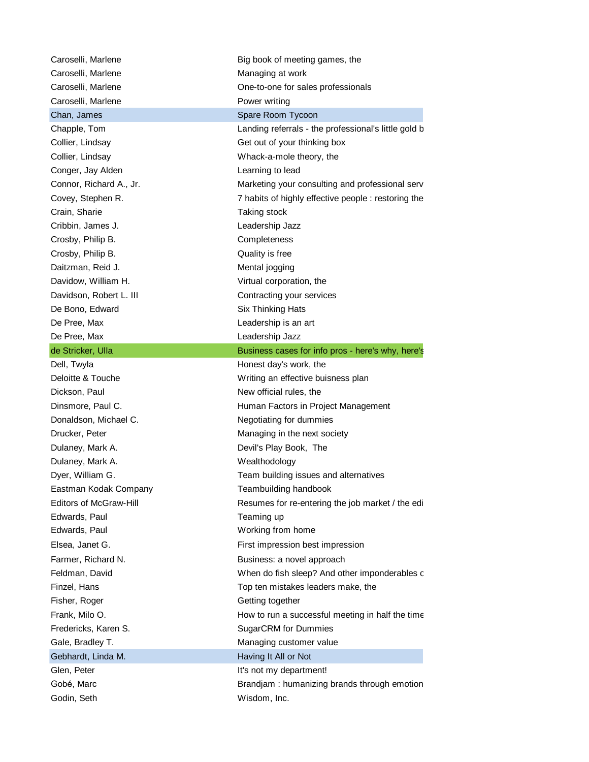| Caroselli, Marlene            | Big book of meeting games, the                       |  |  |  |  |
|-------------------------------|------------------------------------------------------|--|--|--|--|
| Caroselli, Marlene            | Managing at work                                     |  |  |  |  |
| Caroselli, Marlene            | One-to-one for sales professionals                   |  |  |  |  |
| Caroselli, Marlene            | Power writing                                        |  |  |  |  |
| Chan, James                   | Spare Room Tycoon                                    |  |  |  |  |
| Chapple, Tom                  | Landing referrals - the professional's little gold b |  |  |  |  |
| Collier, Lindsay              | Get out of your thinking box                         |  |  |  |  |
| Collier, Lindsay              | Whack-a-mole theory, the                             |  |  |  |  |
| Conger, Jay Alden             | Learning to lead                                     |  |  |  |  |
| Connor, Richard A., Jr.       | Marketing your consulting and professional serv      |  |  |  |  |
| Covey, Stephen R.             | 7 habits of highly effective people : restoring the  |  |  |  |  |
| Crain, Sharie                 | Taking stock                                         |  |  |  |  |
| Cribbin, James J.             | Leadership Jazz                                      |  |  |  |  |
| Crosby, Philip B.             | Completeness                                         |  |  |  |  |
| Crosby, Philip B.             | Quality is free                                      |  |  |  |  |
| Daitzman, Reid J.             | Mental jogging                                       |  |  |  |  |
| Davidow, William H.           | Virtual corporation, the                             |  |  |  |  |
| Davidson, Robert L. III       | Contracting your services                            |  |  |  |  |
| De Bono, Edward               | Six Thinking Hats                                    |  |  |  |  |
| De Pree, Max                  | Leadership is an art                                 |  |  |  |  |
| De Pree, Max                  | Leadership Jazz                                      |  |  |  |  |
| de Stricker, Ulla             | Business cases for info pros - here's why, here's    |  |  |  |  |
| Dell, Twyla                   | Honest day's work, the                               |  |  |  |  |
| Deloitte & Touche             | Writing an effective buisness plan                   |  |  |  |  |
| Dickson, Paul                 | New official rules, the                              |  |  |  |  |
| Dinsmore, Paul C.             | Human Factors in Project Management                  |  |  |  |  |
| Donaldson, Michael C.         | Negotiating for dummies                              |  |  |  |  |
| Drucker, Peter                | Managing in the next society                         |  |  |  |  |
| Dulaney, Mark A.              | Devil's Play Book, The                               |  |  |  |  |
| Dulaney, Mark A.              | Wealthodology                                        |  |  |  |  |
| Dyer, William G.              | Team building issues and alternatives                |  |  |  |  |
| Eastman Kodak Company         | Teambuilding handbook                                |  |  |  |  |
| <b>Editors of McGraw-Hill</b> | Resumes for re-entering the job market / the edi     |  |  |  |  |
| Edwards, Paul                 | Teaming up                                           |  |  |  |  |
| Edwards, Paul                 | Working from home                                    |  |  |  |  |
| Elsea, Janet G.               | First impression best impression                     |  |  |  |  |
| Farmer, Richard N.            | Business: a novel approach                           |  |  |  |  |
| Feldman, David                | When do fish sleep? And other imponderables c        |  |  |  |  |
| Finzel, Hans                  | Top ten mistakes leaders make, the                   |  |  |  |  |
| Fisher, Roger                 | Getting together                                     |  |  |  |  |
| Frank, Milo O.                | How to run a successful meeting in half the time     |  |  |  |  |
| Fredericks, Karen S.          | <b>SugarCRM</b> for Dummies                          |  |  |  |  |
| Gale, Bradley T.              | Managing customer value                              |  |  |  |  |
| Gebhardt, Linda M.            | Having It All or Not                                 |  |  |  |  |
| Glen, Peter                   | It's not my department!                              |  |  |  |  |
| Gobé, Marc                    | Brandjam: humanizing brands through emotion          |  |  |  |  |
| Godin, Seth                   | Wisdom, Inc.                                         |  |  |  |  |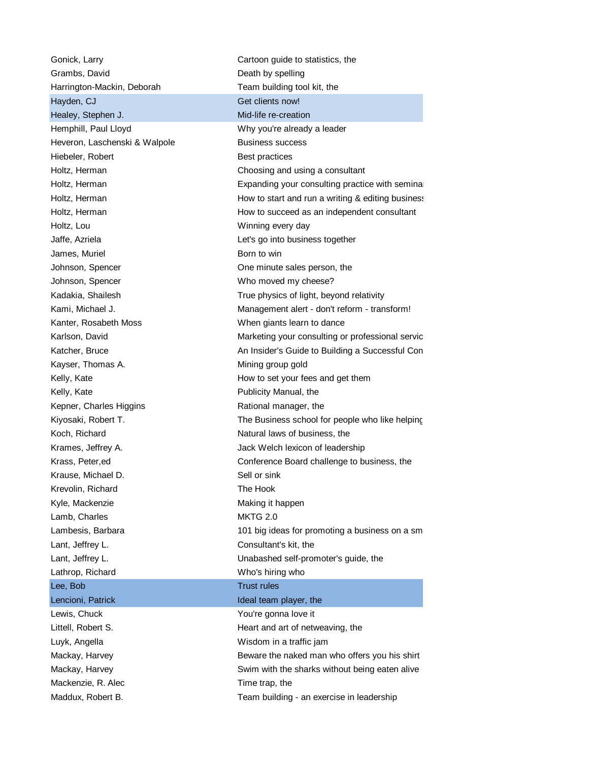Grambs, David **Death** by spelling Harrington-Mackin, Deborah Team building tool kit, the Hayden, CJ Get clients now! Healey, Stephen J. Mid-life re-creation Hemphill, Paul Lloyd Why you're already a leader Heveron, Laschenski & Walpole Business success Hiebeler, Robert **Best practices** Holtz, Lou **Winning every day** Jaffe, Azriela Let's go into business together James, Muriel **Born** to win Johnson, Spencer **Cone is a set of the Secondary Spencer** Cone minute sales person, the Johnson, Spencer **Who moved my cheese?** Kanter, Rosabeth Moss When giants learn to dance Kayser, Thomas A. Mining group gold Kelly, Kate **Publicity Manual**, the Kepner, Charles Higgins Rational manager, the Koch, Richard **Natural laws of business**, the Krause, Michael D. Sell or sink Krevolin, Richard The Hook Kyle, Mackenzie Making it happen Lamb, Charles **MKTG** 2.0 Lant, Jeffrey L. Consultant's kit, the Lathrop, Richard Who's hiring who Lee, Bob Trust rules Lencioni, Patrick Ideal team player, the Lewis, Chuck **The Chuck** You're gonna love it Littell, Robert S. Heart and art of netweaving, the Luyk, Angella Wisdom in a traffic jam Mackenzie, R. Alec Time trap, the

Gonick, Larry **Cartoon** guide to statistics, the Holtz, Herman Choosing and using a consultant Holtz, Herman **Expanding your consulting practice with seminary ending to the Expanding your consulting practice with seminars** Holtz, Herman **How to start and run a writing & editing business** Holtz, Herman **How to succeed as an independent consultant** Kadakia, Shailesh True physics of light, beyond relativity Kami, Michael J. (a) Management alert - don't reform - transform! Karlson, David **Marketing your consulting or professional servic** Katcher, Bruce An Insider's Guide to Building a Successful Consulting Practice Practice Practice Practice Practice Kelly, Kate **How to set your fees and get them** Kiyosaki, Robert T. The Business school for people who like helping people who like helping Krames, Jeffrey A. **Jack Welch lexicon of leadership** Krass, Peter,ed **Conference Board challenge to business**, the Lambesis, Barbara 101 big ideas for promoting a business on a sm Lant, Jeffrey L. Unabashed self-promoter's guide, the Mackay, Harvey **Beware the naked man who offers you his shirt** Mackay, Harvey **SWIM** Swim with the sharks without being eaten alive Maddux, Robert B. Team building - an exercise in leadership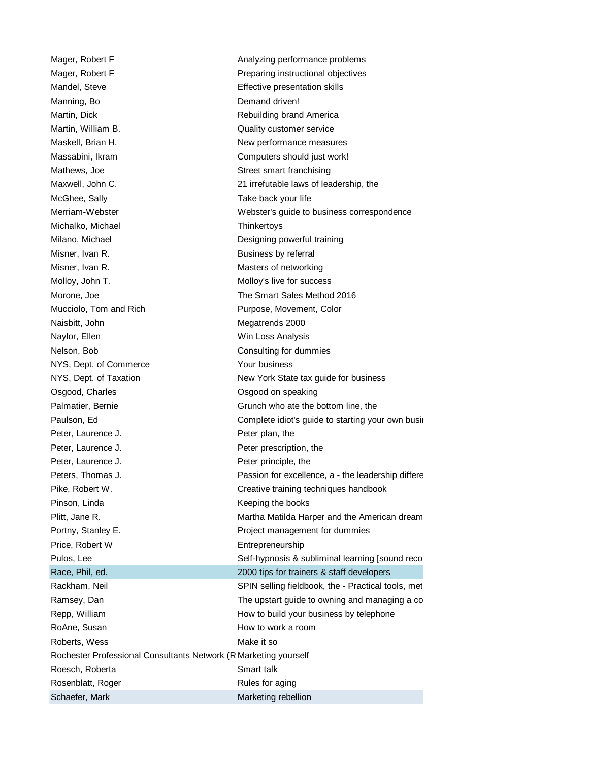Manning, Bo **Demand driven!** Martin, William B. Communication of the Cuality customer service Mathews, Joe Street smart franchising McGhee, Sally **Take back your life** Michalko, Michael **Thinkertoys** Misner, Ivan R. **Business** by referral Misner, Ivan R. Misner, Ivan R. Music et al. Masters of networking Molloy, John T. **Molloy's live for success** Naisbitt, John Megatrends 2000 Naylor, Ellen Win Loss Analysis Nelson, Bob **Consulting for dummies** NYS, Dept. of Commerce Your business Osgood, Charles **Carry Contract Contract Contract Contract Contract Contract Contract Contract Contract Contract Contract Contract Contract Contract Contract Contract Contract Contract Contract Contract Contract Contract C** Peter, Laurence J. Peter plan, the Peter, Laurence J. **Peter prescription**, the Peter, Laurence J. **Peter principle**, the Pinson, Linda **Keeping the books** Price, Robert W **Entrepreneurship** RoAne, Susan **How to work a room** Roberts, Wess **Make it so** Make it so Rochester Professional Consultants Network (R Marketing yourself Roesch, Roberta Smart talk Rosenblatt, Roger Rosenblatt, Roger Rules for aging

Mager, Robert F Analyzing performance problems Mager, Robert F **Preparing instructional objectives** Mandel, Steve **Effective presentation skills** Martin, Dick **Rebuilding brand America** Maskell, Brian H. New performance measures Massabini, Ikram **Computers** should just work! Maxwell, John C. 21 irrefutable laws of leadership, the Merriam-Webster Metal Controller Mebster's guide to business correspondence Milano, Michael **Designing powerful training** Morone, Joe **The Smart Sales Method 2016** Mucciolo, Tom and Rich **Purpose**, Movement, Color NYS, Dept. of Taxation New York State tax quide for business Palmatier, Bernie Grunch who ate the bottom line, the Paulson, Ed Complete idiot's guide to starting your own business, the Complete idiot's guide to starting your own business, the Complete idiot's guide to starting your own business, the Complete idiot's guide to starting y Peters, Thomas J. **Passion for excellence, a - the leadership difference** Pike, Robert W. Creative training techniques handbook Plitt, Jane R. Martha Matilda Harper and the American dream Portny, Stanley E. **Project management for dummies** Pulos, Lee Self-hypnosis & subliminal learning [sound recording] Race, Phil, ed. 2000 tips for trainers & staff developers Rackham, Neil SPIN selling fieldbook, the - Practical tools, met Ramsey, Dan The upstart guide to owning and managing a consulting service service service services and managing a consulting service service service service service service service service service service service service s Repp, William **How to build your business by telephone** Schaefer, Mark Marketing rebellion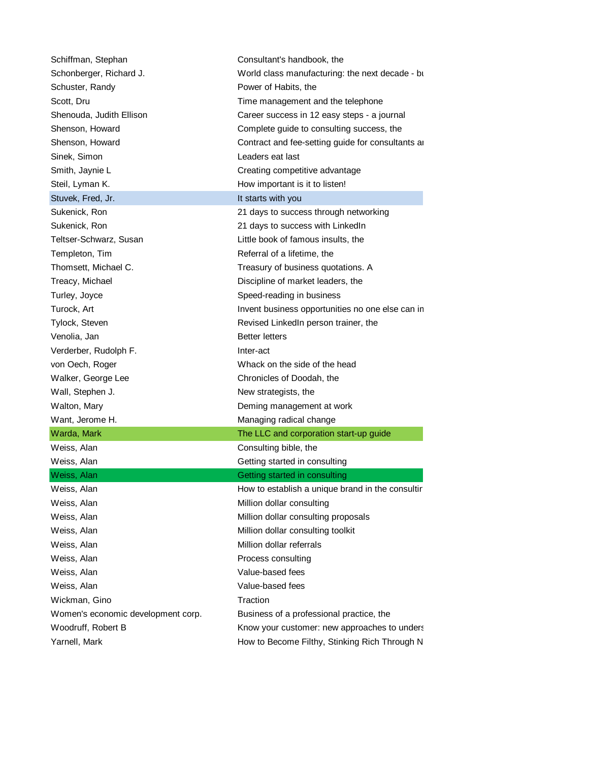| Schiffman, Stephan                 | Consultant's handbook, the                       |  |  |  |  |
|------------------------------------|--------------------------------------------------|--|--|--|--|
| Schonberger, Richard J.            | World class manufacturing: the next decade - bi  |  |  |  |  |
| Schuster, Randy                    | Power of Habits, the                             |  |  |  |  |
| Scott, Dru                         | Time management and the telephone                |  |  |  |  |
| Shenouda, Judith Ellison           | Career success in 12 easy steps - a journal      |  |  |  |  |
| Shenson, Howard                    | Complete guide to consulting success, the        |  |  |  |  |
| Shenson, Howard                    | Contract and fee-setting guide for consultants a |  |  |  |  |
| Sinek, Simon                       | Leaders eat last                                 |  |  |  |  |
| Smith, Jaynie L                    | Creating competitive advantage                   |  |  |  |  |
| Steil, Lyman K.                    | How important is it to listen!                   |  |  |  |  |
| Stuvek, Fred, Jr.                  | It starts with you                               |  |  |  |  |
| Sukenick, Ron                      | 21 days to success through networking            |  |  |  |  |
| Sukenick, Ron                      | 21 days to success with LinkedIn                 |  |  |  |  |
| Teltser-Schwarz, Susan             | Little book of famous insults, the               |  |  |  |  |
| Templeton, Tim                     | Referral of a lifetime, the                      |  |  |  |  |
| Thomsett, Michael C.               | Treasury of business quotations. A               |  |  |  |  |
| Treacy, Michael                    | Discipline of market leaders, the                |  |  |  |  |
| Turley, Joyce                      | Speed-reading in business                        |  |  |  |  |
| Turock, Art                        | Invent business opportunities no one else can in |  |  |  |  |
| Tylock, Steven                     | Revised LinkedIn person trainer, the             |  |  |  |  |
| Venolia, Jan                       | <b>Better letters</b>                            |  |  |  |  |
| Verderber, Rudolph F.              | Inter-act                                        |  |  |  |  |
| von Oech, Roger                    | Whack on the side of the head                    |  |  |  |  |
| Walker, George Lee                 | Chronicles of Doodah, the                        |  |  |  |  |
| Wall, Stephen J.                   | New strategists, the                             |  |  |  |  |
| Walton, Mary                       | Deming management at work                        |  |  |  |  |
| Want, Jerome H.                    | Managing radical change                          |  |  |  |  |
| Warda, Mark                        | The LLC and corporation start-up guide           |  |  |  |  |
| Weiss, Alan                        | Consulting bible, the                            |  |  |  |  |
| Weiss, Alan                        | Getting started in consulting                    |  |  |  |  |
| Weiss, Alan                        | Getting started in consulting                    |  |  |  |  |
| Weiss, Alan                        | How to establish a unique brand in the consultir |  |  |  |  |
| Weiss, Alan                        | Million dollar consulting                        |  |  |  |  |
| Weiss, Alan                        | Million dollar consulting proposals              |  |  |  |  |
| Weiss, Alan                        | Million dollar consulting toolkit                |  |  |  |  |
| Weiss, Alan                        | Million dollar referrals                         |  |  |  |  |
| Weiss, Alan                        | Process consulting                               |  |  |  |  |
| Weiss, Alan                        | Value-based fees                                 |  |  |  |  |
| Weiss, Alan                        | Value-based fees                                 |  |  |  |  |
| Wickman, Gino                      | Traction                                         |  |  |  |  |
| Women's economic development corp. | Business of a professional practice, the         |  |  |  |  |
| Woodruff, Robert B                 | Know your customer: new approaches to unders     |  |  |  |  |
| Yarnell, Mark                      | How to Become Filthy, Stinking Rich Through N    |  |  |  |  |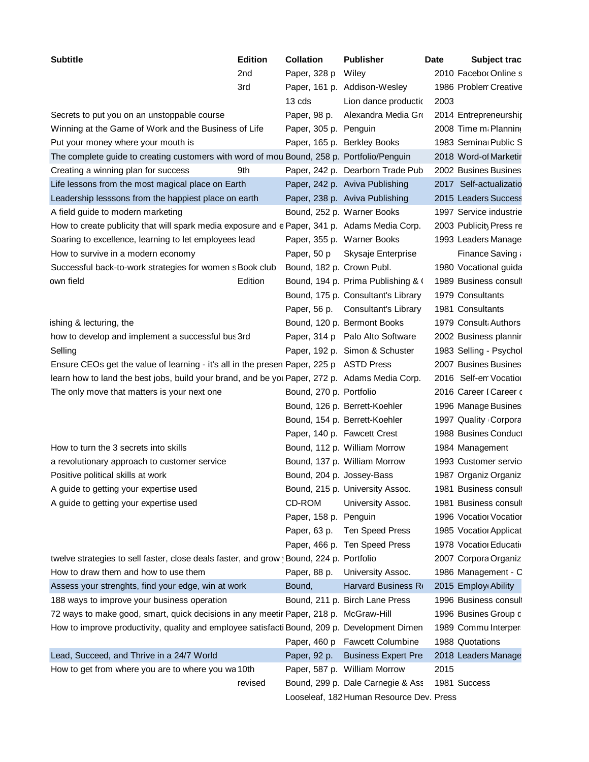| <b>Subtitle</b><br><b>Edition</b>                                                             | <b>Collation</b> | <b>Publisher</b>                         | Date | Subject trac            |
|-----------------------------------------------------------------------------------------------|------------------|------------------------------------------|------|-------------------------|
| 2nd                                                                                           | Paper, 328 p     | Wiley                                    |      | 2010 Facebor Online s   |
| 3rd                                                                                           |                  | Paper, 161 p. Addison-Wesley             |      | 1986 Problen Creative   |
|                                                                                               | 13 cds           | Lion dance productio                     | 2003 |                         |
| Secrets to put you on an unstoppable course                                                   | Paper, 98 p.     | Alexandra Media Gro                      |      | 2014 Entrepreneurship   |
| Winning at the Game of Work and the Business of Life                                          |                  | Paper, 305 p. Penguin                    |      | 2008 Time m. Planning   |
| Put your money where your mouth is                                                            |                  | Paper, 165 p. Berkley Books              |      | 1983 Semina Public S    |
| The complete guide to creating customers with word of mou Bound, 258 p. Portfolio/Penguin     |                  |                                          |      | 2018 Word-of Marketir   |
| Creating a winning plan for success<br>9th                                                    |                  | Paper, 242 p. Dearborn Trade Pub         |      | 2002 Busines Busines    |
| Life lessons from the most magical place on Earth                                             |                  | Paper, 242 p. Aviva Publishing           |      | 2017 Self-actualizatio  |
| Leadership lesssons from the happiest place on earth                                          |                  | Paper, 238 p. Aviva Publishing           |      | 2015 Leaders Success    |
| A field guide to modern marketing                                                             |                  | Bound, 252 p. Warner Books               |      | 1997 Service industrie  |
| How to create publicity that will spark media exposure and e Paper, 341 p. Adams Media Corp.  |                  |                                          |      | 2003 Publicity Press re |
| Soaring to excellence, learning to let employees lead                                         |                  | Paper, 355 p. Warner Books               |      | 1993 Leaders Manage     |
| How to survive in a modern economy                                                            | Paper, 50 p      | Skysaje Enterprise                       |      | Finance Saving a        |
| Successful back-to-work strategies for women s Book club                                      |                  | Bound, 182 p. Crown Publ.                |      | 1980 Vocational guida   |
| Edition<br>own field                                                                          |                  | Bound, 194 p. Prima Publishing & (       |      | 1989 Business consult   |
|                                                                                               |                  | Bound, 175 p. Consultant's Library       |      | 1979 Consultants        |
|                                                                                               |                  | Paper, 56 p. Consultant's Library        |      | 1981 Consultants        |
| ishing & lecturing, the                                                                       |                  | Bound, 120 p. Bermont Books              |      | 1979 Consult Authors    |
| how to develop and implement a successful bus 3rd                                             |                  | Paper, 314 p Palo Alto Software          |      | 2002 Business plannir   |
| Selling                                                                                       |                  | Paper, 192 p. Simon & Schuster           |      | 1983 Selling - Psychol  |
| Ensure CEOs get the value of learning - it's all in the presen Paper, 225 p ASTD Press        |                  |                                          |      | 2007 Busines Busines    |
| learn how to land the best jobs, build your brand, and be you Paper, 272 p. Adams Media Corp. |                  |                                          |      | 2016 Self-en Vocation   |
| The only move that matters is your next one                                                   |                  | Bound, 270 p. Portfolio                  |      | 2016 Career I Career o  |
|                                                                                               |                  | Bound, 126 p. Berrett-Koehler            |      | 1996 Manage Busines     |
|                                                                                               |                  | Bound, 154 p. Berrett-Koehler            |      | 1997 Quality Corpora    |
|                                                                                               |                  | Paper, 140 p. Fawcett Crest              |      | 1988 Busines Conduct    |
| How to turn the 3 secrets into skills                                                         |                  | Bound, 112 p. William Morrow             |      | 1984 Management         |
| a revolutionary approach to customer service                                                  |                  | Bound, 137 p. William Morrow             |      | 1993 Customer service   |
| Positive political skills at work                                                             |                  | Bound, 204 p. Jossey-Bass                |      | 1987 Organiz Organiz    |
| A guide to getting your expertise used                                                        |                  | Bound, 215 p. University Assoc.          |      | 1981 Business consult   |
| A guide to getting your expertise used                                                        | CD-ROM           | University Assoc.                        |      | 1981 Business consult   |
|                                                                                               |                  | Paper, 158 p. Penguin                    |      | 1996 Vocatio Vocatior   |
|                                                                                               | Paper, 63 p.     | Ten Speed Press                          |      | 1985 Vocatio Applicat   |
|                                                                                               |                  | Paper, 466 p. Ten Speed Press            |      | 1978 Vocatio Educatio   |
| twelve strategies to sell faster, close deals faster, and grow 'Bound, 224 p. Portfolio       |                  |                                          |      | 2007 Corpora Organiz    |
| How to draw them and how to use them                                                          |                  | Paper, 88 p. University Assoc.           |      | 1986 Management - C     |
| Assess your strenghts, find your edge, win at work                                            | Bound,           | Harvard Business Ro                      |      | 2015 Employ Ability     |
| 188 ways to improve your business operation                                                   |                  |                                          |      | 1996 Business consult   |
|                                                                                               |                  | Bound, 211 p. Birch Lane Press           |      |                         |
| 72 ways to make good, smart, quick decisions in any meetir Paper, 218 p. McGraw-Hill          |                  |                                          |      | 1996 Busines Group d    |
| How to improve productivity, quality and employee satisfacti Bound, 209 p. Development Dimen  |                  |                                          |      | 1989 Commu Interper     |
|                                                                                               |                  | Paper, 460 p Fawcett Columbine           |      | 1988 Quotations         |
| Lead, Succeed, and Thrive in a 24/7 World                                                     | Paper, 92 p.     | <b>Business Expert Pre</b>               |      | 2018 Leaders Manage     |
| How to get from where you are to where you wa 10th                                            |                  | Paper, 587 p. William Morrow             | 2015 |                         |
| revised                                                                                       |                  | Bound, 299 p. Dale Carnegie & Ass        |      | 1981 Success            |
|                                                                                               |                  | Looseleaf, 182 Human Resource Dev. Press |      |                         |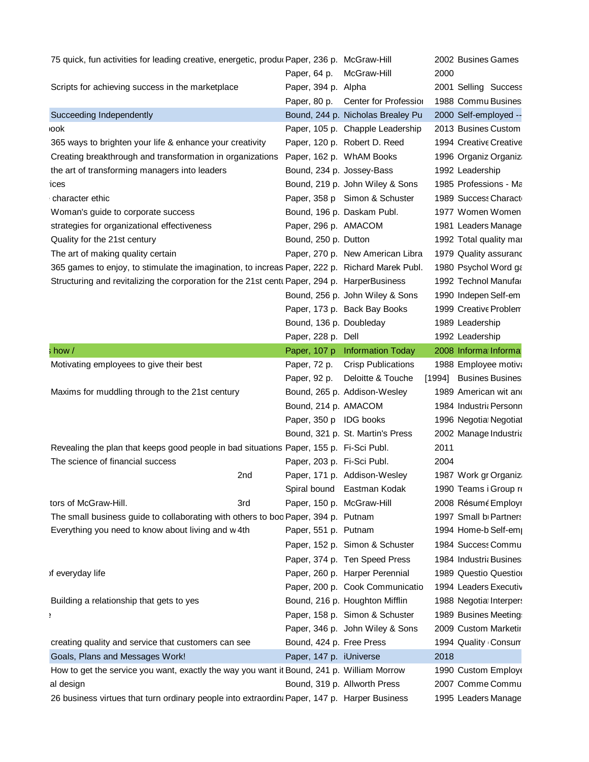| 75 quick, fun activities for leading creative, energetic, produ Paper, 236 p. McGraw-Hill      |                            |                                    | 2002 Busines Games                           |
|------------------------------------------------------------------------------------------------|----------------------------|------------------------------------|----------------------------------------------|
|                                                                                                | Paper, 64 p. McGraw-Hill   |                                    | 2000                                         |
| Scripts for achieving success in the marketplace                                               | Paper, 394 p. Alpha        |                                    | 2001 Selling Success                         |
|                                                                                                |                            | Paper, 80 p. Center for Profession | 1988 Commu Busines                           |
| Succeeding Independently                                                                       |                            | Bound, 244 p. Nicholas Brealey Pu  | 2000 Self-employed --                        |
| <b>ook</b>                                                                                     |                            | Paper, 105 p. Chapple Leadership   | 2013 Busines Custom                          |
| 365 ways to brighten your life & enhance your creativity                                       |                            | Paper, 120 p. Robert D. Reed       | 1994 Creative Creative                       |
| Creating breakthrough and transformation in organizations                                      |                            | Paper, 162 p. WhAM Books           | 1996 Organiz Organiz                         |
| the art of transforming managers into leaders                                                  | Bound, 234 p. Jossey-Bass  |                                    | 1992 Leadership                              |
| ices                                                                                           |                            | Bound, 219 p. John Wiley & Sons    | 1985 Professions - Ma                        |
| character ethic                                                                                |                            | Paper, 358 p Simon & Schuster      | 1989 Success Charact                         |
| Woman's guide to corporate success                                                             |                            | Bound, 196 p. Daskam Publ.         | 1977 Women Women                             |
| strategies for organizational effectiveness                                                    | Paper, 296 p. AMACOM       |                                    | 1981 Leaders Manage                          |
| Quality for the 21st century                                                                   | Bound, 250 p. Dutton       |                                    | 1992 Total quality mar                       |
| The art of making quality certain                                                              |                            | Paper, 270 p. New American Libra   | 1979 Quality assuranc                        |
| 365 games to enjoy, to stimulate the imagination, to increas Paper, 222 p. Richard Marek Publ. |                            |                                    |                                              |
| Structuring and revitalizing the corporation for the 21st cent Paper, 294 p. HarperBusiness    |                            |                                    | 1980 Psychol Word ga<br>1992 Technol Manufar |
|                                                                                                |                            |                                    |                                              |
|                                                                                                |                            | Bound, 256 p. John Wiley & Sons    | 1990 Indepen Self-em                         |
|                                                                                                |                            | Paper, 173 p. Back Bay Books       | 1999 Creative Problem                        |
|                                                                                                | Bound, 136 p. Doubleday    |                                    | 1989 Leadership                              |
|                                                                                                | Paper, 228 p. Dell         |                                    | 1992 Leadership                              |
| : how /                                                                                        |                            | Paper, 107 p Information Today     | 2008 Informa Informa                         |
| Motivating employees to give their best                                                        | Paper, 72 p.               | <b>Crisp Publications</b>          | 1988 Employee motiva                         |
|                                                                                                |                            | Paper, 92 p. Deloitte & Touche     | [1994] Busines Busines                       |
| Maxims for muddling through to the 21st century                                                |                            | Bound, 265 p. Addison-Wesley       | 1989 American wit and                        |
|                                                                                                | Bound, 214 p. AMACOM       |                                    | 1984 Industri <sub>k</sub> Personn           |
|                                                                                                | Paper, 350 p IDG books     |                                    | 1996 Negotia Negotial                        |
|                                                                                                |                            | Bound, 321 p. St. Martin's Press   | 2002 Manage Industria                        |
| Revealing the plan that keeps good people in bad situations Paper, 155 p. Fi-Sci Publ.         |                            |                                    | 2011                                         |
| The science of financial success                                                               | Paper, 203 p. Fi-Sci Publ. |                                    | 2004                                         |
| 2nd                                                                                            |                            | Paper, 171 p. Addison-Wesley       | 1987 Work gr Organiz                         |
|                                                                                                |                            | Spiral bound Eastman Kodak         | 1990 Teams i Group re                        |
| tors of McGraw-Hill.<br>3rd                                                                    | Paper, 150 p. McGraw-Hill  |                                    | 2008 Résumé Employr                          |
| The small business guide to collaborating with others to boc Paper, 394 p. Putnam              |                            |                                    | 1997 Small b Partners                        |
| Everything you need to know about living and w 4th                                             | Paper, 551 p. Putnam       |                                    | 1994 Home-b Self-emp                         |
|                                                                                                |                            | Paper, 152 p. Simon & Schuster     | 1984 Success Commu                           |
|                                                                                                |                            | Paper, 374 p. Ten Speed Press      | 1984 Industri Busines                        |
| of everyday life                                                                               |                            | Paper, 260 p. Harper Perennial     | 1989 Questio Question                        |
|                                                                                                |                            | Paper, 200 p. Cook Communicatio    | 1994 Leaders Executiv                        |
| Building a relationship that gets to yes                                                       |                            | Bound, 216 p. Houghton Mifflin     | 1988 Negotia Interpers                       |
|                                                                                                |                            | Paper, 158 p. Simon & Schuster     | 1989 Busines Meeting                         |
|                                                                                                |                            | Paper, 346 p. John Wiley & Sons    | 2009 Custom Marketir                         |
| creating quality and service that customers can see                                            | Bound, 424 p. Free Press   |                                    | 1994 Quality Consun                          |
| Goals, Plans and Messages Work!                                                                | Paper, 147 p. iUniverse    |                                    | 2018                                         |
| How to get the service you want, exactly the way you want it Bound, 241 p. William Morrow      |                            |                                    | 1990 Custom Employe                          |
| al design                                                                                      |                            | Bound, 319 p. Allworth Press       | 2007 Comme Commu                             |
| 26 business virtues that turn ordinary people into extraordin Paper, 147 p. Harper Business    |                            |                                    | 1995 Leaders Manage                          |
|                                                                                                |                            |                                    |                                              |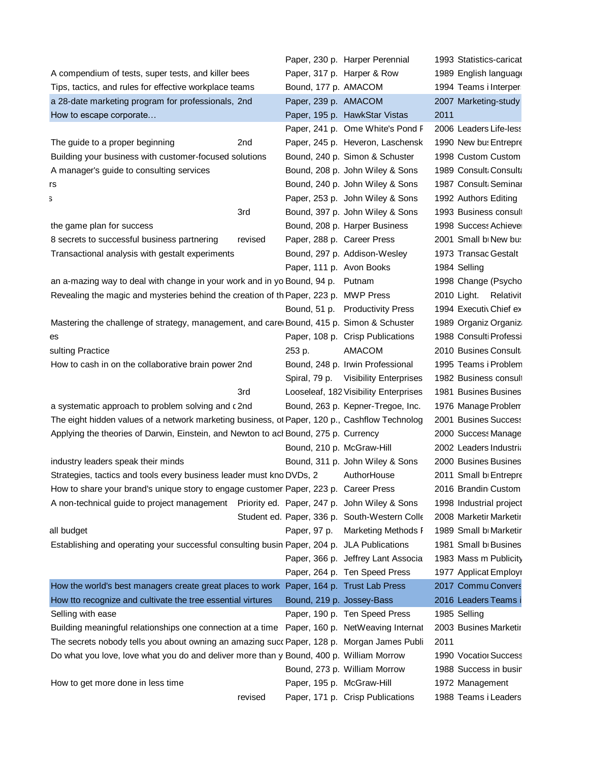|                                                                                               |        | Paper, 230 p. Harper Perennial                | 1993 Statistics-caricat |
|-----------------------------------------------------------------------------------------------|--------|-----------------------------------------------|-------------------------|
| A compendium of tests, super tests, and killer bees                                           |        | Paper, 317 p. Harper & Row                    | 1989 English language   |
| Tips, tactics, and rules for effective workplace teams                                        |        | Bound, 177 p. AMACOM                          | 1994 Teams i Interper   |
| a 28-date marketing program for professionals, 2nd                                            |        | Paper, 239 p. AMACOM                          | 2007 Marketing-study    |
| How to escape corporate                                                                       |        | Paper, 195 p. HawkStar Vistas                 | 2011                    |
|                                                                                               |        | Paper, 241 p. Ome White's Pond F              | 2006 Leaders Life-less  |
| The guide to a proper beginning<br>2nd                                                        |        | Paper, 245 p. Heveron, Laschensk              | 1990 New bu: Entrepre   |
| Building your business with customer-focused solutions                                        |        | Bound, 240 p. Simon & Schuster                | 1998 Custom Custom      |
| A manager's guide to consulting services                                                      |        | Bound, 208 p. John Wiley & Sons               | 1989 Consult: Consulta  |
| rs                                                                                            |        | Bound, 240 p. John Wiley & Sons               | 1987 Consult Seminar    |
| 3                                                                                             |        | Paper, 253 p. John Wiley & Sons               | 1992 Authors Editing    |
| 3rd                                                                                           |        | Bound, 397 p. John Wiley & Sons               | 1993 Business consult   |
| the game plan for success                                                                     |        | Bound, 208 p. Harper Business                 | 1998 Success Achieve    |
| 8 secrets to successful business partnering<br>revised                                        |        | Paper, 288 p. Career Press                    | 2001 Small b New but    |
| Transactional analysis with gestalt experiments                                               |        | Bound, 297 p. Addison-Wesley                  | 1973 Transac Gestalt    |
|                                                                                               |        | Paper, 111 p. Avon Books                      | 1984 Selling            |
| an a-mazing way to deal with change in your work and in yo Bound, 94 p. Putnam                |        |                                               | 1998 Change (Psycho     |
| Revealing the magic and mysteries behind the creation of th Paper, 223 p. MWP Press           |        |                                               | 2010 Light. Relativit   |
|                                                                                               |        | Bound, 51 p. Productivity Press               | 1994 Executiv Chief ex  |
| Mastering the challenge of strategy, management, and care Bound, 415 p. Simon & Schuster      |        |                                               | 1989 Organiz Organiz    |
| es                                                                                            |        | Paper, 108 p. Crisp Publications              | 1988 Consulti Professi  |
| sulting Practice                                                                              | 253 p. | AMACOM                                        | 2010 Busines Consult    |
| How to cash in on the collaborative brain power 2nd                                           |        | Bound, 248 p. Irwin Professional              | 1995 Teams i Problem    |
|                                                                                               |        | Spiral, 79 p. Visibility Enterprises          | 1982 Business consult   |
| 3rd                                                                                           |        | Looseleaf, 182 Visibility Enterprises         | 1981 Busines Busines    |
|                                                                                               |        |                                               |                         |
| a systematic approach to problem solving and c2nd                                             |        | Bound, 263 p. Kepner-Tregoe, Inc.             | 1976 Manage Problem     |
| The eight hidden values of a network marketing business, of Paper, 120 p., Cashflow Technolog |        |                                               | 2001 Busines Success    |
| Applying the theories of Darwin, Einstein, and Newton to acl Bound, 275 p. Currency           |        |                                               | 2000 Success Manage     |
|                                                                                               |        | Bound, 210 p. McGraw-Hill                     | 2002 Leaders Industria  |
| industry leaders speak their minds                                                            |        | Bound, 311 p. John Wiley & Sons               | 2000 Busines Busines    |
| Strategies, tactics and tools every business leader must kno DVDs, 2                          |        | AuthorHouse                                   | 2011 Small b Entrepre   |
| How to share your brand's unique story to engage customer Paper, 223 p. Career Press          |        |                                               | 2016 Brandin Custom     |
| A non-technical guide to project management  Priority ed. Paper, 247 p. John Wiley & Sons     |        |                                               | 1998 Industrial project |
|                                                                                               |        | Student ed. Paper, 336 p. South-Western Colle | 2008 Marketir Marketir  |
| all budget                                                                                    |        | Paper, 97 p. Marketing Methods F              | 1989 Small b Marketir   |
| Establishing and operating your successful consulting busin Paper, 204 p. JLA Publications    |        |                                               | 1981 Small b Busines    |
|                                                                                               |        | Paper, 366 p. Jeffrey Lant Associa            | 1983 Mass m Publicity   |
|                                                                                               |        | Paper, 264 p. Ten Speed Press                 | 1977 Applicat Employr   |
| How the world's best managers create great places to work Paper, 164 p. Trust Lab Press       |        |                                               | 2017 Commu Convers      |
| How tto recognize and cultivate the tree essential virtures                                   |        | Bound, 219 p. Jossey-Bass                     | 2016 Leaders Teams i    |
| Selling with ease                                                                             |        | Paper, 190 p. Ten Speed Press                 | 1985 Selling            |
| Building meaningful relationships one connection at a time Paper, 160 p. NetWeaving Internat  |        |                                               | 2003 Busines Marketir   |
| The secrets nobody tells you about owning an amazing succ Paper, 128 p. Morgan James Publi    |        |                                               | 2011                    |
| Do what you love, love what you do and deliver more than y Bound, 400 p. William Morrow       |        |                                               | 1990 Vocatio Success    |
|                                                                                               |        | Bound, 273 p. William Morrow                  | 1988 Success in busir   |
| How to get more done in less time                                                             |        | Paper, 195 p. McGraw-Hill                     | 1972 Management         |
| revised                                                                                       |        | Paper, 171 p. Crisp Publications              | 1988 Teams i Leaders    |
|                                                                                               |        |                                               |                         |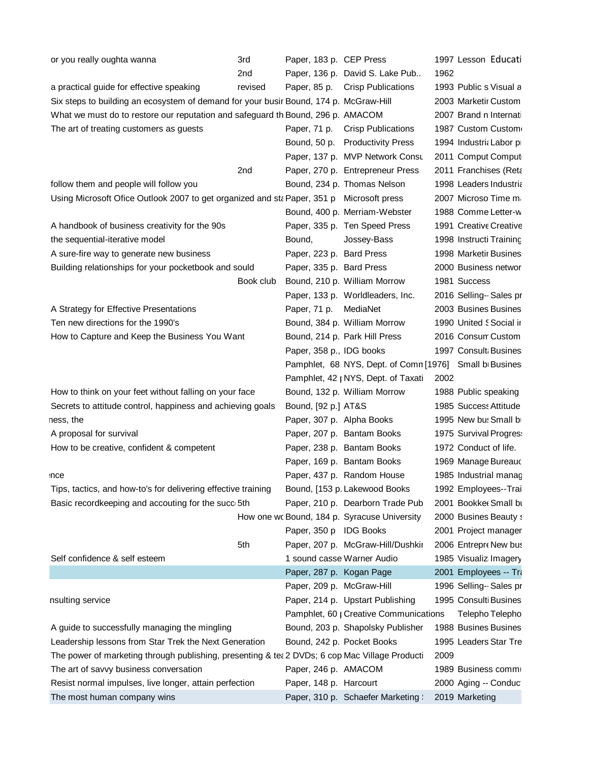| or you really oughta wanna                                                                     | 3rd       | Paper, 183 p. CEP Press   |                                              | 1997 Lesson Educati                                    |
|------------------------------------------------------------------------------------------------|-----------|---------------------------|----------------------------------------------|--------------------------------------------------------|
|                                                                                                | 2nd       |                           | Paper, 136 p. David S. Lake Pub              | 1962                                                   |
| a practical guide for effective speaking                                                       | revised   |                           | Paper, 85 p. Crisp Publications              | 1993 Public s Visual a                                 |
| Six steps to building an ecosystem of demand for your busir Bound, 174 p. McGraw-Hill          |           |                           |                                              | 2003 Marketir Custom                                   |
| What we must do to restore our reputation and safeguard th Bound, 296 p. AMACOM                |           |                           |                                              | 2007 Brand n Internati                                 |
| The art of treating customers as guests                                                        |           |                           | Paper, 71 p. Crisp Publications              | 1987 Custom Custom                                     |
|                                                                                                |           |                           | Bound, 50 p. Productivity Press              | 1994 Industri Labor p                                  |
|                                                                                                |           |                           | Paper, 137 p. MVP Network Consu              | 2011 Comput Comput                                     |
|                                                                                                | 2nd       |                           | Paper, 270 p. Entrepreneur Press             | 2011 Franchises (Reta                                  |
| follow them and people will follow you                                                         |           |                           | Bound, 234 p. Thomas Nelson                  | 1998 Leaders Industria                                 |
| Using Microsoft Ofice Outlook 2007 to get organized and st Paper, 351 p Microsoft press        |           |                           |                                              | 2007 Microso Time ma                                   |
|                                                                                                |           |                           | Bound, 400 p. Merriam-Webster                | 1988 Comme Letter-w                                    |
| A handbook of business creativity for the 90s                                                  |           |                           | Paper, 335 p. Ten Speed Press                | 1991 Creative Creative                                 |
| the sequential-iterative model                                                                 |           | Bound,                    | Jossey-Bass                                  | 1998 Instructi Training                                |
| A sure-fire way to generate new business                                                       |           | Paper, 223 p. Bard Press  |                                              | 1998 Marketir Busines                                  |
| Building relationships for your pocketbook and sould                                           |           | Paper, 335 p. Bard Press  |                                              | 2000 Business networ                                   |
|                                                                                                | Book club |                           | Bound, 210 p. William Morrow                 | 1981 Success                                           |
|                                                                                                |           |                           | Paper, 133 p. Worldleaders, Inc.             | 2016 Selling -- Sales pr                               |
| A Strategy for Effective Presentations                                                         |           | Paper, 71 p. MediaNet     |                                              | 2003 Busines Busines                                   |
| Ten new directions for the 1990's                                                              |           |                           | Bound, 384 p. William Morrow                 | 1990 United Social ir                                  |
| How to Capture and Keep the Business You Want                                                  |           |                           | Bound, 214 p. Park Hill Press                | 2016 Consun Custom                                     |
|                                                                                                |           | Paper, 358 p., IDG books  |                                              | 1997 Consult Busines                                   |
|                                                                                                |           |                           |                                              | Pamphlet, 68 NYS, Dept. of Comn [1976] Small b Busines |
|                                                                                                |           |                           | Pamphlet, 42   NYS, Dept. of Taxati          | 2002                                                   |
| How to think on your feet without falling on your face                                         |           |                           | Bound, 132 p. William Morrow                 | 1988 Public speaking                                   |
| Secrets to attitude control, happiness and achieving goals                                     |           | Bound, [92 p.] AT&S       |                                              | 1985 Success Attitude                                  |
| ness, the                                                                                      |           | Paper, 307 p. Alpha Books |                                              | 1995 New but Small by                                  |
| A proposal for survival                                                                        |           |                           | Paper, 207 p. Bantam Books                   | 1975 Survival Progres:                                 |
| How to be creative, confident & competent                                                      |           |                           | Paper, 238 p. Bantam Books                   | 1972 Conduct of life.                                  |
|                                                                                                |           |                           | Paper, 169 p. Bantam Books                   | 1969 Manage Bureauc                                    |
| nce                                                                                            |           |                           | Paper, 437 p. Random House                   | 1985 Industrial manag                                  |
| Tips, tactics, and how-to's for delivering effective training                                  |           |                           | Bound, [153 p. Lakewood Books                | 1992 Employees--Trai                                   |
| Basic recordkeeping and accouting for the succ 5th                                             |           |                           | Paper, 210 p. Dearborn Trade Pub             | 2001 Bookket Small bt                                  |
|                                                                                                |           |                           | How one wo Bound, 184 p. Syracuse University | 2000 Busines Beauty s                                  |
|                                                                                                |           | Paper, 350 p IDG Books    |                                              | 2001 Project manager                                   |
|                                                                                                | 5th       |                           | Paper, 207 p. McGraw-Hill/Dushkir            | 2006 Entrepre New bus                                  |
| Self confidence & self esteem                                                                  |           |                           | 1 sound casse Warner Audio                   | 1985 Visualiz Imagery                                  |
|                                                                                                |           | Paper, 287 p. Kogan Page  |                                              | 2001 Employees -- Tra                                  |
|                                                                                                |           | Paper, 209 p. McGraw-Hill |                                              | 1996 Selling - Sales pr                                |
| nsulting service                                                                               |           |                           | Paper, 214 p. Upstart Publishing             | 1995 Consulti Busines                                  |
|                                                                                                |           |                           | Pamphlet, 60 ; Creative Communications       | Telepho Telepho                                        |
| A guide to successfully managing the mingling                                                  |           |                           | Bound, 203 p. Shapolsky Publisher            | 1988 Busines Busines                                   |
| Leadership lessons from Star Trek the Next Generation                                          |           |                           | Bound, 242 p. Pocket Books                   | 1995 Leaders Star Tre                                  |
| The power of marketing through publishing, presenting & tea 2 DVDs; 6 cop Mac Village Producti |           |                           |                                              | 2009                                                   |
| The art of savvy business conversation                                                         |           | Paper, 246 p. AMACOM      |                                              | 1989 Business commi                                    |
| Resist normal impulses, live longer, attain perfection                                         |           | Paper, 148 p. Harcourt    |                                              | 2000 Aging -- Conduct                                  |
| The most human company wins                                                                    |           |                           | Paper, 310 p. Schaefer Marketing             | 2019 Marketing                                         |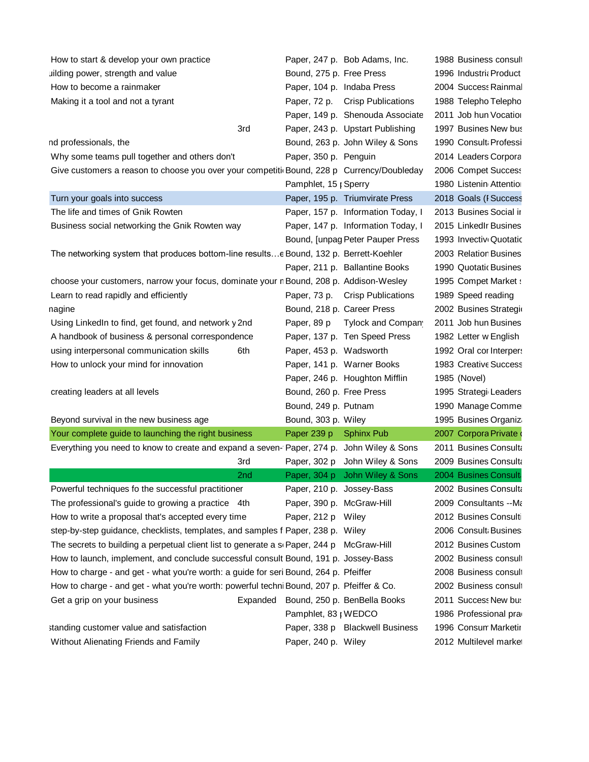| How to start & develop your own practice                                                  | Paper, 247 p. Bob Adams, Inc.         | 1988 Business consult   |
|-------------------------------------------------------------------------------------------|---------------------------------------|-------------------------|
| uilding power, strength and value                                                         | Bound, 275 p. Free Press              | 1996 Industri Product   |
| How to become a rainmaker                                                                 | Paper, 104 p. Indaba Press            | 2004 Success Rainmal    |
| Making it a tool and not a tyrant                                                         | Paper, 72 p. Crisp Publications       | 1988 Telepho Telepho    |
|                                                                                           | Paper, 149 p. Shenouda Associate      | 2011 Job hun Vocation   |
| 3rd                                                                                       | Paper, 243 p. Upstart Publishing      | 1997 Busines New bus    |
| nd professionals, the                                                                     | Bound, 263 p. John Wiley & Sons       | 1990 Consult Professi   |
| Why some teams pull together and others don't                                             | Paper, 350 p. Penguin                 | 2014 Leaders Corpora    |
| Give customers a reason to choose you over your competition                               | Bound, 228 p Currency/Doubleday       | 2006 Compet Success     |
|                                                                                           | Pamphlet, 15 ; Sperry                 | 1980 Listenin Attentior |
| Turn your goals into success                                                              | Paper, 195 p. Triumvirate Press       | 2018 Goals (I Success   |
| The life and times of Gnik Rowten                                                         | Paper, 157 p. Information Today, I    | 2013 Busines Social ir  |
| Business social networking the Gnik Rowten way                                            | Paper, 147 p. Information Today, I    | 2015 LinkedIr Busines   |
|                                                                                           | Bound, [unpag Peter Pauper Press      | 1993 Invectiv Quotatic  |
| The networking system that produces bottom-line resultse Bound, 132 p. Berrett-Koehler    |                                       | 2003 Relation Busines   |
|                                                                                           | Paper, 211 p. Ballantine Books        | 1990 Quotatic Busines   |
| choose your customers, narrow your focus, dominate your n Bound, 208 p. Addison-Wesley    |                                       | 1995 Compet Market :    |
| Learn to read rapidly and efficiently                                                     | Paper, 73 p. Crisp Publications       | 1989 Speed reading      |
| nagine                                                                                    | Bound, 218 p. Career Press            | 2002 Busines Strategio  |
| Using LinkedIn to find, get found, and network y 2nd                                      | Paper, 89 p Tylock and Compan         | 2011 Job hun Busines    |
| A handbook of business & personal correspondence                                          | Paper, 137 p. Ten Speed Press         | 1982 Letter w English   |
| using interpersonal communication skills<br>6th                                           | Paper, 453 p. Wadsworth               | 1992 Oral cor Interpers |
| How to unlock your mind for innovation                                                    | Paper, 141 p. Warner Books            | 1983 Creative Success   |
|                                                                                           | Paper, 246 p. Houghton Mifflin        | 1985 (Novel)            |
| creating leaders at all levels                                                            | Bound, 260 p. Free Press              | 1995 Strategi Leaders   |
|                                                                                           | Bound, 249 p. Putnam                  | 1990 Manage Comme       |
| Beyond survival in the new business age                                                   | Bound, 303 p. Wiley                   | 1995 Busines Organiz    |
| Your complete guide to launching the right business                                       | Paper 239 p Sphinx Pub                | 2007 Corpora Private    |
| Everything you need to know to create and expand a seven- Paper, 274 p. John Wiley & Sons |                                       | 2011 Busines Consulta   |
| 3rd                                                                                       | Paper, 302 p John Wiley & Sons        | 2009 Busines Consulta   |
| 2 <sub>nd</sub>                                                                           | Paper, 304 p John Wiley & Sons        | 2004 Busines Consulta   |
| Powerful techniques fo the successful practitioner                                        | Paper, 210 p. Jossey-Bass             | 2002 Busines Consulta   |
| The professional's guide to growing a practice 4th                                        | Paper, 390 p. McGraw-Hill             | 2009 Consultants -- Ma  |
| How to write a proposal that's accepted every time                                        | Paper, 212 p Wiley                    | 2012 Busines Consulti   |
| step-by-step guidance, checklists, templates, and samples f Paper, 238 p. Wiley           |                                       | 2006 Consult Busines    |
| The secrets to building a perpetual client list to generate a s Paper, 244 p McGraw-Hill  |                                       | 2012 Busines Custom     |
| How to launch, implement, and conclude successful consult Bound, 191 p. Jossey-Bass       |                                       | 2002 Business consult   |
| How to charge - and get - what you're worth: a guide for seri Bound, 264 p. Pfeiffer      |                                       | 2008 Business consult   |
| How to charge - and get - what you're worth: powerful techni Bound, 207 p. Pfeiffer & Co. |                                       | 2002 Business consult   |
| Get a grip on your business                                                               | Expanded Bound, 250 p. BenBella Books | 2011 Success New bus    |
|                                                                                           | Pamphlet, 83   WEDCO                  | 1986 Professional pra   |
| standing customer value and satisfaction                                                  | Paper, 338 p Blackwell Business       | 1996 Consun Marketir    |
| Without Alienating Friends and Family                                                     | Paper, 240 p. Wiley                   | 2012 Multilevel market  |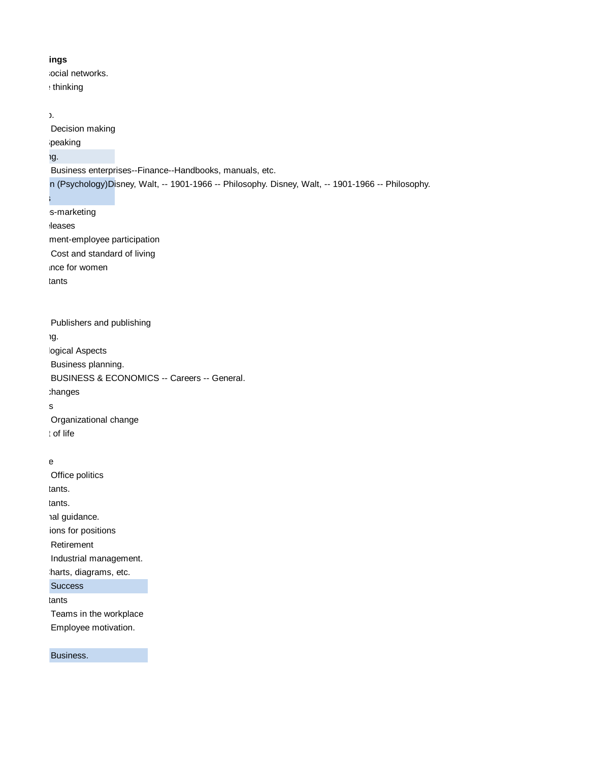## ings

ocial networks. : thinking

 $\lambda$ Decision making peaking ig. Business enterprises--Finance--Handbooks, manuals, etc. n (Psychology) Disney, Walt, -- 1901-1966 -- Philosophy. Disney, Walt, -- 1901-1966 -- Philosophy. Success s-marketing **leases** ment-employee participation Cost and standard of living ince for women tants Publishers and publishing g. logical Aspects Business planning. BUSINESS & ECONOMICS -- Careers -- General. :hanges  $\mathbf s$ Organizational change t of life  $e$ 

Office politics tants. tants. al guidance. ions for positions Retirement Industrial management. harts, diagrams, etc. **Success** tants Teams in the workplace Employee motivation.

Business.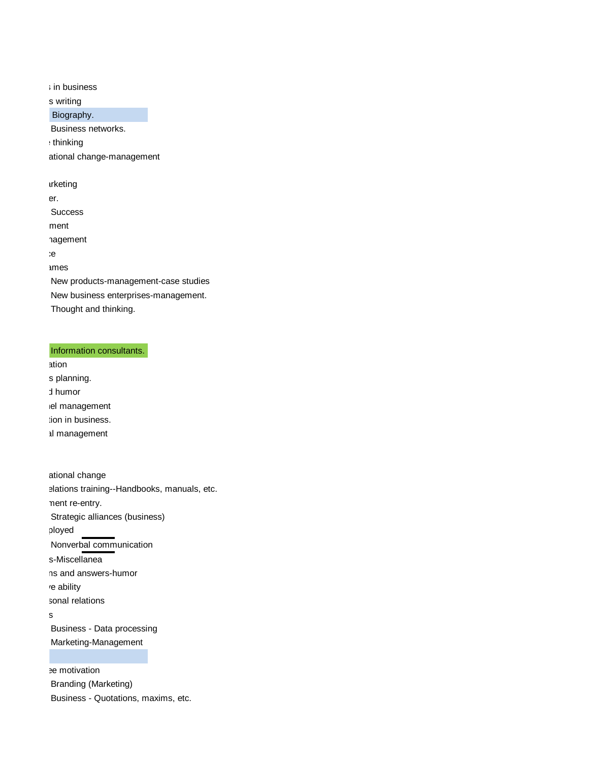$\frac{1}{2}$  in business s writing Biography. Business networks. thinking ational change-management urketing er. **Success** ment hagement  $\mathcal{E}$ ames New products-management-case studies New business enterprises-management. Thought and thinking.

## Information consultants.

ation s planning. d humor el management tion in business. al management

ational change elations training--Handbooks, manuals, etc. nent re-entry. Strategic alliances (business) ployed Nonverbal communication s-Miscellanea ns and answers-humor re ability sonal relations  $\mathbf{s}$ Business - Data processing Marketing-Management

e motivation Branding (Marketing) Business - Quotations, maxims, etc.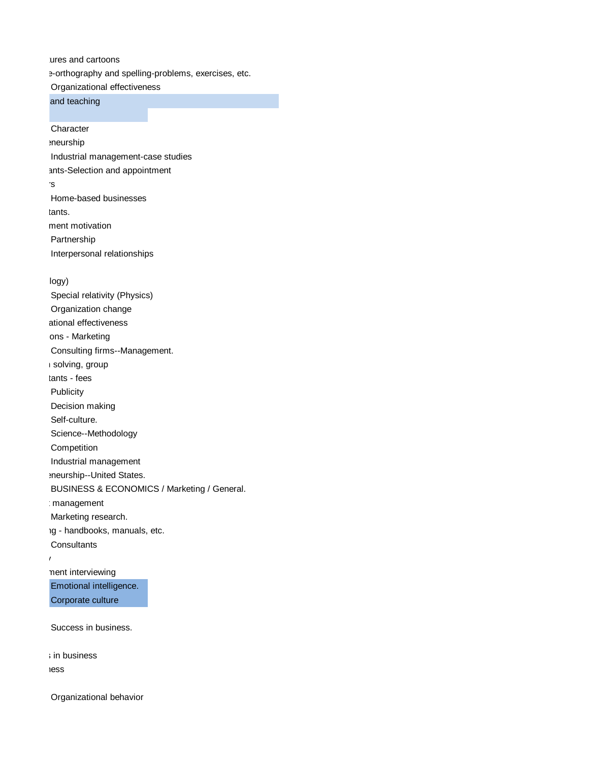ures and cartoons e-orthography and spelling-problems, exercises, etc. Organizational effectiveness

and teaching

**Character eneurship** Industrial management-case studies ants-Selection and appointment Seminars Home-based businesses tants. ment motivation Partnership Interpersonal relationships

logy)

Special relativity (Physics) Organization change ational effectiveness ons - Marketing Consulting firms--Management.  $\overline{\phantom{a}}$  solving, group tants - fees Publicity Decision making Self-culture. Science--Methodology Competition Industrial management eneurship--United States. BUSINESS & ECONOMICS / Marketing / General. **Imanagement** Marketing research. Ig - handbooks, manuals, etc. **Consultants** Publicity

> nent interviewing Emotional intelligence. Corporate culture

Success in business.

; in business **iess** 

Organizational behavior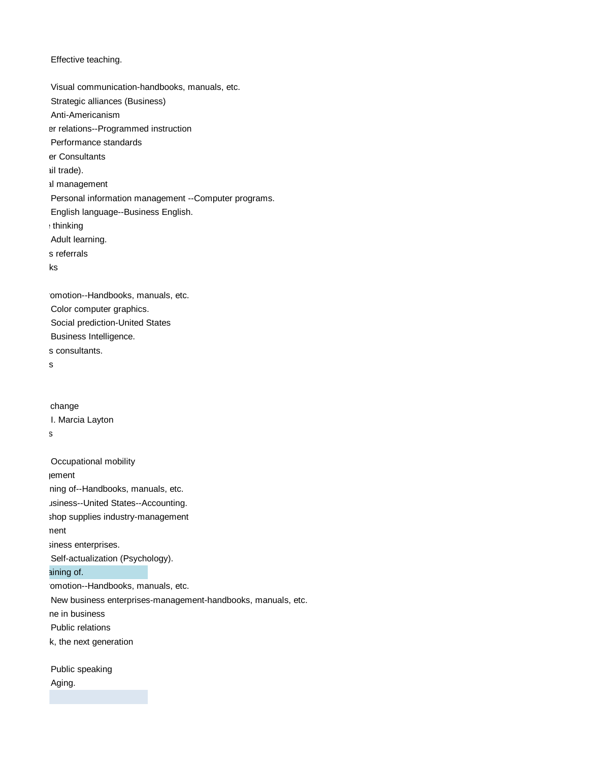## Effective teaching.

Visual communication-handbooks, manuals, etc. Strategic alliances (Business) Anti-Americanism er relations--Programmed instruction Performance standards er Consultants ail trade). al management Personal information management --Computer programs. English language--Business English. : thinking Adult learning. s referrals  $ks$ 

omotion--Handbooks, manuals, etc. Color computer graphics. Social prediction-United States Business Intelligence. s consultants.

 $\mathbf{s}$ 

change I. Marcia Layton Progress

Occupational mobility **Iement** ning of--Handbooks, manuals, etc. Jsiness--United States--Accounting. shop supplies industry-management nent siness enterprises. Self-actualization (Psychology). aining of. omotion--Handbooks, manuals, etc. New business enterprises-management-handbooks, manuals, etc. ne in business Public relations k, the next generation Public speaking Aging.